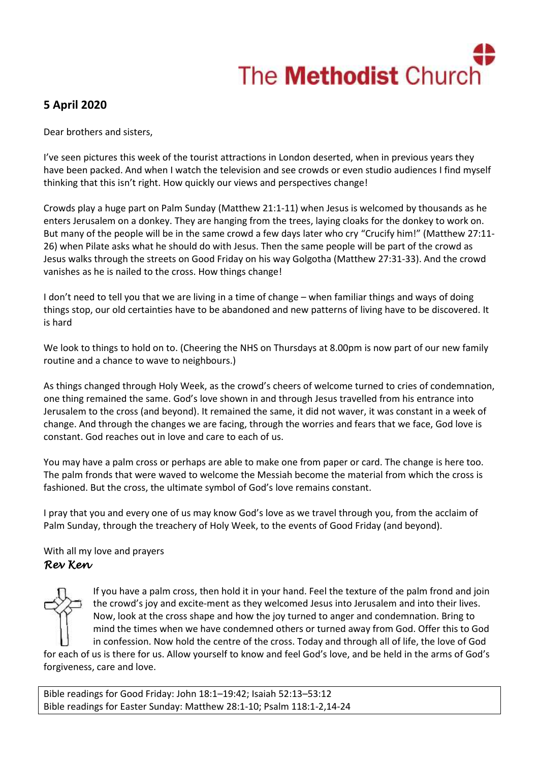# The **Methodist** Church

# **5 April 2020**

Dear brothers and sisters,

I've seen pictures this week of the tourist attractions in London deserted, when in previous years they have been packed. And when I watch the television and see crowds or even studio audiences I find myself thinking that this isn't right. How quickly our views and perspectives change!

Crowds play a huge part on Palm Sunday (Matthew 21:1-11) when Jesus is welcomed by thousands as he enters Jerusalem on a donkey. They are hanging from the trees, laying cloaks for the donkey to work on. But many of the people will be in the same crowd a few days later who cry "Crucify him!" (Matthew 27:11- 26) when Pilate asks what he should do with Jesus. Then the same people will be part of the crowd as Jesus walks through the streets on Good Friday on his way Golgotha (Matthew 27:31-33). And the crowd vanishes as he is nailed to the cross. How things change!

I don't need to tell you that we are living in a time of change – when familiar things and ways of doing things stop, our old certainties have to be abandoned and new patterns of living have to be discovered. It is hard

We look to things to hold on to. (Cheering the NHS on Thursdays at 8.00pm is now part of our new family routine and a chance to wave to neighbours.)

As things changed through Holy Week, as the crowd's cheers of welcome turned to cries of condemnation, one thing remained the same. God's love shown in and through Jesus travelled from his entrance into Jerusalem to the cross (and beyond). It remained the same, it did not waver, it was constant in a week of change. And through the changes we are facing, through the worries and fears that we face, God love is constant. God reaches out in love and care to each of us.

You may have a palm cross or perhaps are able to make one from paper or card. The change is here too. The palm fronds that were waved to welcome the Messiah become the material from which the cross is fashioned. But the cross, the ultimate symbol of God's love remains constant.

I pray that you and every one of us may know God's love as we travel through you, from the acclaim of Palm Sunday, through the treachery of Holy Week, to the events of Good Friday (and beyond).

# With all my love and prayers *Rev Ken*



If you have a palm cross, then hold it in your hand. Feel the texture of the palm frond and join the crowd's joy and excite-ment as they welcomed Jesus into Jerusalem and into their lives. Now, look at the cross shape and how the joy turned to anger and condemnation. Bring to mind the times when we have condemned others or turned away from God. Offer this to God in confession. Now hold the centre of the cross. Today and through all of life, the love of God

for each of us is there for us. Allow yourself to know and feel God's love, and be held in the arms of God's forgiveness, care and love.

Bible readings for Good Friday: John 18:1–19:42; Isaiah 52:13–53:12 Bible readings for Easter Sunday: Matthew 28:1-10; Psalm 118:1-2,14-24